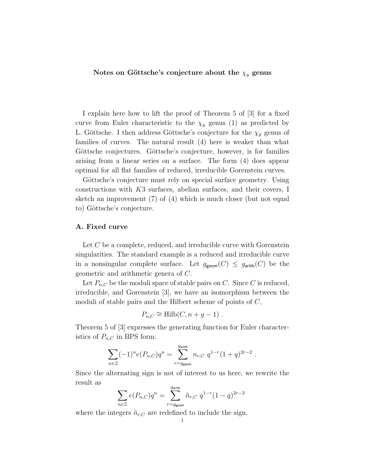Notes on Göttsche's conjecture about the  $\chi_y$  genus

I explain here how to lift the proof of Theorem 5 of [3] for a fixed curve from Euler characteristic to the  $\chi_y$  genus (1) as predicted by L. Göttsche. I then address Göttsche's conjecture for the  $\chi_y$  genus of families of curves. The natural result (4) here is weaker than what Göttsche conjectures. Göttsche's conjecture, however, is for families arising from a linear series on a surface. The form (4) does appear optimal for all flat families of reduced, irreducible Gorenstein curves.

Göttsche's conjecture must rely on special surface geometry. Using constructions with K3 surfaces, abelian surfaces, and their covers, I sketch an improvement (7) of (4) which is much closer (but not equal to) Göttsche's conjecture.

## A. Fixed curve

Let  $C$  be a complete, reduced, and irreducible curve with Gorenstein singularities. The standard example is a reduced and irreducible curve in a nonsingular complete surface. Let  $g_{\text{geom}}(C) \leq g_{\text{arith}}(C)$  be the geometric and arithmetic genera of C.

Let  $P_{n,C}$  be the moduli space of stable pairs on C. Since C is reduced, irreducible, and Gorenstein [3], we have an isomorphism between the moduli of stable pairs and the Hilbert scheme of points of C,

$$
P_{n,C} \cong \text{Hilb}(C, n+g-1) .
$$

Theorem 5 of [3] expresses the generating function for Euler characteristics of  $P_{n,C}$  in BPS form:

$$
\sum_{n\in\mathbb{Z}} (-1)^n e(P_{n,C})q^n = \sum_{r=g_{\text{geom}}}^{g_{\text{arith}}} n_{r,C} q^{1-r} (1+q)^{2r-2}.
$$

Since the alternating sign is not of interest to us here, we rewrite the result as

$$
\sum_{n \in \mathbb{Z}} e(P_{n,C}) q^n = \sum_{r=g_{\text{geom}}}^{g_{\text{arith}}} \tilde{n}_{r,C} \ q^{1-r} (1-q)^{2r-2}
$$

where the integers  $\tilde{n}_{r,C}$  are redefined to include the sign.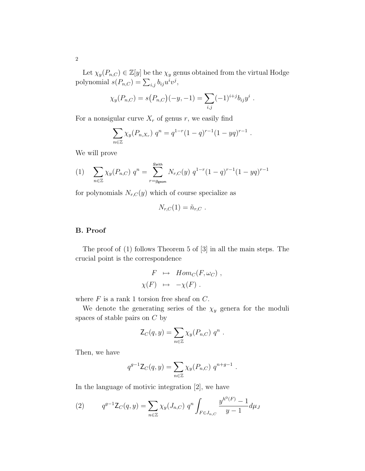Let  $\chi_y(P_{n,C}) \in \mathbb{Z}[y]$  be the  $\chi_y$  genus obtained from the virtual Hodge polynomial  $s(P_{n,C}) = \sum_{i,j} b_{ij} u^i v^j$ ,

$$
\chi_y(P_{n,C}) = s(P_{n,C})(-y,-1) = \sum_{i,j} (-1)^{i+j} b_{ij} y^i.
$$

For a nonsigular curve  $X_r$  of genus r, we easily find

$$
\sum_{n\in\mathbb{Z}} \chi_y(P_{n,X_r}) q^n = q^{1-r}(1-q)^{r-1}(1-yq)^{r-1}.
$$

We will prove

(1) 
$$
\sum_{n \in \mathbb{Z}} \chi_y(P_{n,C}) q^n = \sum_{r=g_{\text{geom}}}^{g_{\text{arith}}} N_{r,C}(y) q^{1-r} (1-q)^{r-1} (1-yq)^{r-1}
$$

for polynomials  $N_{r,C}(y)$  which of course specialize as

$$
N_{r,C}(1)=\tilde{n}_{r,C}.
$$

# B. Proof

The proof of (1) follows Theorem 5 of [3] in all the main steps. The crucial point is the correspondence

$$
F \mapsto Hom_C(F, \omega_C) ,
$$
  

$$
\chi(F) \mapsto -\chi(F) .
$$

where  $F$  is a rank 1 torsion free sheaf on  $C$ .

We denote the generating series of the  $\chi_y$  genera for the moduli spaces of stable pairs on  $C$  by

$$
Z_C(q, y) = \sum_{n \in \mathbb{Z}} \chi_y(P_{n,C}) q^n.
$$

Then, we have

$$
q^{g-1}Z_C(q, y) = \sum_{n \in \mathbb{Z}} \chi_y(P_{n,C}) q^{n+g-1} .
$$

In the language of motivic integration [2], we have

(2) 
$$
q^{g-1}Z_C(q, y) = \sum_{n \in \mathbb{Z}} \chi_y(J_{n,C}) q^n \int_{F \in J_{n,C}} \frac{y^{h^0(F)} - 1}{y - 1} d\mu_J
$$

2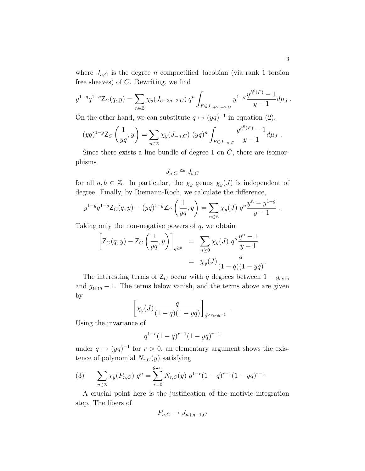where  $J_{n,C}$  is the degree n compactified Jacobian (via rank 1 torsion free sheaves) of C. Rewriting, we find

$$
y^{1-g}q^{1-g}Z_C(q,y) = \sum_{n \in \mathbb{Z}} \chi_y(J_{n+2g-2,C}) q^n \int_{F \in J_{n+2g-2,C}} y^{1-g} \frac{y^{h^0(F)} - 1}{y - 1} d\mu_J.
$$

On the other hand, we can substitute  $q \mapsto (yq)^{-1}$  in equation (2),

$$
(yq)^{1-g}Z_C\left(\frac{1}{yq},y\right) = \sum_{n\in\mathbb{Z}} \chi_y(J_{-n,C}) (yq)^n \int_{F\in J_{-n,C}} \frac{y^{h^0(F)}-1}{y-1} d\mu_J.
$$

Since there exists a line bundle of degree 1 on  $C$ , there are isomorphisms

$$
J_{a,C} \cong J_{b,C}
$$

for all  $a, b \in \mathbb{Z}$ . In particular, the  $\chi_y$  genus  $\chi_y(J)$  is independent of degree. Finally, by Riemann-Roch, we calculate the difference,

$$
y^{1-g}q^{1-g}Z_C(q,y) - (yq)^{1-g}Z_C\left(\frac{1}{yq},y\right) = \sum_{n\in\mathbb{Z}} \chi_y(J) q^n \frac{y^n - y^{1-g}}{y-1}.
$$

Taking only the non-negative powers of  $q$ , we obtain

$$
\[Z_C(q, y) - Z_C\left(\frac{1}{yq}, y\right)\]_{q \ge 0} = \sum_{n \ge 0} \chi_y(J) q^n \frac{y^n - 1}{y - 1} \\
= \chi_y(J) \frac{q}{(1 - q)(1 - yq)}
$$

The interesting terms of  $Z_C$  occur with q degrees between  $1 - g_{\text{arith}}$ and  $g_{\text{arith}} - 1$ . The terms below vanish, and the terms above are given by

$$
\left[\chi_y(J)\frac{q}{(1-q)(1-yq)}\right]_{q>g_{\text{arith}}-1}
$$

Using the invariance of

$$
q^{1-r}(1-q)^{r-1}(1-yq)^{r-1}
$$

under  $q \mapsto (yq)^{-1}$  for  $r > 0$ , an elementary argument shows the existence of polynomial  $N_{r,C}(y)$  satisfying

(3) 
$$
\sum_{n\in\mathbb{Z}} \chi_y(P_{n,C}) q^n = \sum_{r=0}^{g_{\text{arith}}} N_{r,C}(y) q^{1-r} (1-q)^{r-1} (1-yq)^{r-1}
$$

A crucial point here is the justification of the motivic integration step. The fibers of

$$
P_{n,C} \to J_{n+g-1,C}
$$

.

.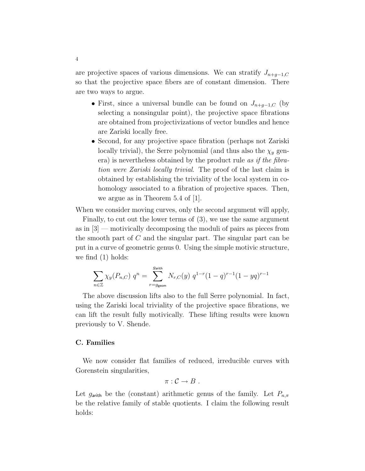are projective spaces of various dimensions. We can stratify  $J_{n+q-1,C}$ so that the projective space fibers are of constant dimension. There are two ways to argue.

- First, since a universal bundle can be found on  $J_{n+g-1,C}$  (by selecting a nonsingular point), the projective space fibrations are obtained from projectivizations of vector bundles and hence are Zariski locally free.
- Second, for any projective space fibration (perhaps not Zariski locally trivial), the Serre polynomial (and thus also the  $\chi_y$  genera) is nevertheless obtained by the product rule as if the fibration were Zariski locally trivial. The proof of the last claim is obtained by establishing the triviality of the local system in cohomology associated to a fibration of projective spaces. Then, we argue as in Theorem 5.4 of [1].

When we consider moving curves, only the second argument will apply,

Finally, to cut out the lower terms of (3), we use the same argument as in  $[3]$  — motivically decomposing the moduli of pairs as pieces from the smooth part of  $C$  and the singular part. The singular part can be put in a curve of geometric genus 0. Using the simple motivic structure, we find (1) holds:

$$
\sum_{n \in \mathbb{Z}} \chi_y(P_{n,C}) q^n = \sum_{r=g_{\text{geom}}}^{g_{\text{arith}}} N_{r,C}(y) q^{1-r} (1-q)^{r-1} (1-yq)^{r-1}
$$

The above discussion lifts also to the full Serre polynomial. In fact, using the Zariski local triviality of the projective space fibrations, we can lift the result fully motivically. These lifting results were known previously to V. Shende.

# C. Families

We now consider flat families of reduced, irreducible curves with Gorenstein singularities,

$$
\pi:\mathcal{C}\to B.
$$

Let  $g_{\text{arith}}$  be the (constant) arithmetic genus of the family. Let  $P_{n,\pi}$ be the relative family of stable quotients. I claim the following result holds: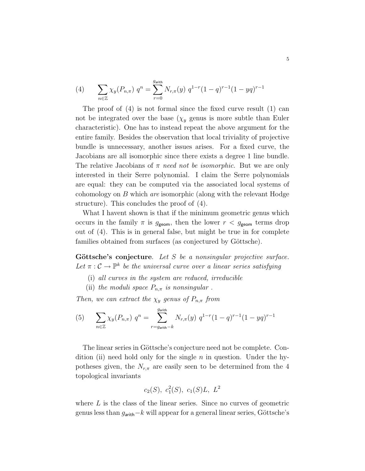(4) 
$$
\sum_{n\in\mathbb{Z}} \chi_y(P_{n,\pi}) q^n = \sum_{r=0}^{g_{\text{arith}}} N_{r,\pi}(y) q^{1-r} (1-q)^{r-1} (1-yq)^{r-1}
$$

The proof of (4) is not formal since the fixed curve result (1) can not be integrated over the base  $(\chi_y)$  genus is more subtle than Euler characteristic). One has to instead repeat the above argument for the entire family. Besides the observation that local triviality of projective bundle is unnecessary, another issues arises. For a fixed curve, the Jacobians are all isomorphic since there exists a degree 1 line bundle. The relative Jacobians of  $\pi$  need not be isomorphic. But we are only interested in their Serre polynomial. I claim the Serre polynomials are equal: they can be computed via the associated local systems of cohomology on B which are isomorphic (along with the relevant Hodge structure). This concludes the proof of (4).

What I havent shown is that if the minimum geometric genus which occurs in the family  $\pi$  is  $g_{\text{geom}}$ , then the lower  $r < g_{\text{geom}}$  terms drop out of (4). This is in general false, but might be true in for complete families obtained from surfaces (as conjectured by Göttsche).

Göttsche's conjecture. Let  $S$  be a nonsingular projective surface. Let  $\pi: \mathcal{C} \to \mathbb{P}^k$  be the universal curve over a linear series satisfying

- (i) all curves in the system are reduced, irreducible
- (ii) the moduli space  $P_{n,\pi}$  is nonsingular.

Then, we can extract the  $\chi_y$  genus of  $P_{n,\pi}$  from

(5) 
$$
\sum_{n \in \mathbb{Z}} \chi_y(P_{n,\pi}) q^n = \sum_{r=g_{\text{arith}}-k}^{g_{\text{arith}}} N_{r,\pi}(y) q^{1-r} (1-q)^{r-1} (1-yq)^{r-1}
$$

The linear series in Göttsche's conjecture need not be complete. Condition (ii) need hold only for the single  $n$  in question. Under the hypotheses given, the  $N_{r,\pi}$  are easily seen to be determined from the 4 topological invariants

$$
c_2(S)
$$
,  $c_1^2(S)$ ,  $c_1(S)L$ ,  $L^2$ 

where  $L$  is the class of the linear series. Since no curves of geometric genus less than  $g_{\text{arith}}-k$  will appear for a general linear series, Göttsche's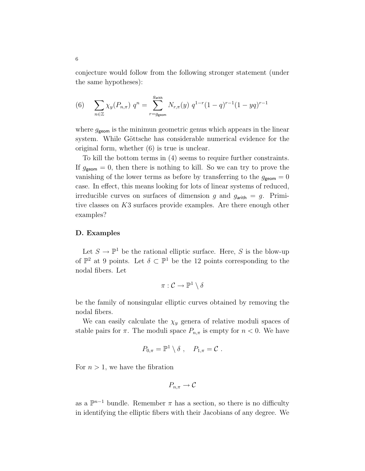conjecture would follow from the following stronger statement (under the same hypotheses):

(6) 
$$
\sum_{n \in \mathbb{Z}} \chi_y(P_{n,\pi}) q^n = \sum_{r=g_{\text{geom}}}^{g_{\text{arith}}} N_{r,\pi}(y) q^{1-r} (1-q)^{r-1} (1-yq)^{r-1}
$$

where  $g_{\text{geom}}$  is the minimun geometric genus which appears in the linear system. While Göttsche has considerable numerical evidence for the original form, whether (6) is true is unclear.

To kill the bottom terms in (4) seems to require further constraints. If  $g_{\text{geom}} = 0$ , then there is nothing to kill. So we can try to prove the vanishing of the lower terms as before by transferring to the  $g_{\text{geom}} = 0$ case. In effect, this means looking for lots of linear systems of reduced, irreducible curves on surfaces of dimension g and  $g_{\text{arith}} = g$ . Primitive classes on K3 surfaces provide examples. Are there enough other examples?

# D. Examples

Let  $S \to \mathbb{P}^1$  be the rational elliptic surface. Here, S is the blow-up of  $\mathbb{P}^2$  at 9 points. Let  $\delta \subset \mathbb{P}^1$  be the 12 points corresponding to the nodal fibers. Let

$$
\pi:\mathcal{C}\to\mathbb{P}^1\setminus\delta
$$

be the family of nonsingular elliptic curves obtained by removing the nodal fibers.

We can easily calculate the  $\chi_y$  genera of relative moduli spaces of stable pairs for  $\pi$ . The moduli space  $P_{n,\pi}$  is empty for  $n < 0$ . We have

$$
P_{0,\pi} = \mathbb{P}^1 \setminus \delta \ , \quad P_{1,\pi} = \mathcal{C} \ .
$$

For  $n > 1$ , we have the fibration

$$
P_{n,\pi}\to\mathcal{C}
$$

as a  $\mathbb{P}^{n-1}$  bundle. Remember  $\pi$  has a section, so there is no difficulty in identifying the elliptic fibers with their Jacobians of any degree. We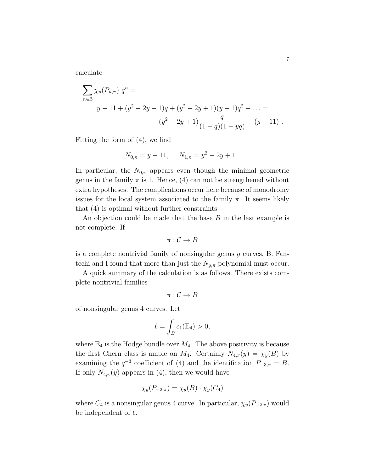calculate

$$
\sum_{n\in\mathbb{Z}} \chi_y(P_{n,\pi}) q^n =
$$
  
 
$$
y - 11 + (y^2 - 2y + 1)q + (y^2 - 2y + 1)(y + 1)q^2 + \dots =
$$
  
\n
$$
(y^2 - 2y + 1)\frac{q}{(1 - q)(1 - yq)} + (y - 11).
$$

Fitting the form of (4), we find

$$
N_{0,\pi} = y - 11, \quad N_{1,\pi} = y^2 - 2y + 1.
$$

In particular, the  $N_{0,\pi}$  appears even though the minimal geometric genus in the family  $\pi$  is 1. Hence, (4) can not be strengthened without extra hypotheses. The complications occur here because of monodromy issues for the local system associated to the family  $\pi$ . It seems likely that (4) is optimal without further constraints.

An objection could be made that the base  $B$  in the last example is not complete. If

$$
\pi:\mathcal{C}\to B
$$

is a complete nontrivial family of nonsingular genus  $g$  curves, B. Fantechi and I found that more than just the  $N_{g,\pi}$  polynomial must occur.

A quick summary of the calculation is as follows. There exists complete nontrivial families

$$
\pi:\mathcal{C}\to B
$$

of nonsingular genus 4 curves. Let

$$
\ell = \int_B c_1(\mathbb{E}_4) > 0,
$$

where  $\mathbb{E}_4$  is the Hodge bundle over  $M_4$ . The above positivity is because the first Chern class is ample on  $M_4$ . Certainly  $N_{4,\pi}(y) = \chi_y(B)$  by examining the  $q^{-3}$  coefficient of (4) and the identification  $P_{-3,\pi} = B$ . If only  $N_{4,\pi}(y)$  appears in (4), then we would have

$$
\chi_y(P_{-2,\pi}) = \chi_y(B) \cdot \chi_y(C_4)
$$

where  $C_4$  is a nonsingular genus 4 curve. In particular,  $\chi_y(P_{-2,\pi})$  would be independent of  $\ell$ .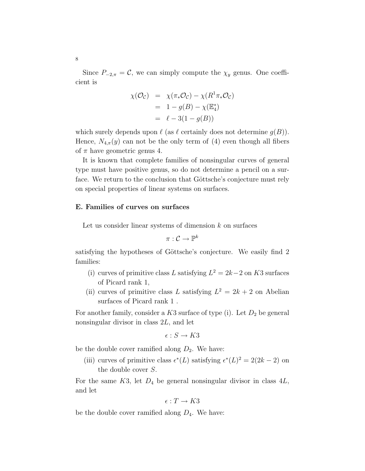Since  $P_{-2,\pi} = \mathcal{C}$ , we can simply compute the  $\chi_y$  genus. One coefficient is

$$
\chi(\mathcal{O}_{\mathcal{C}}) = \chi(\pi_* \mathcal{O}_{\mathcal{C}}) - \chi(R^1 \pi_* \mathcal{O}_{\mathcal{C}})
$$
  
= 1 - g(B) - \chi(\mathbb{E}\_4^\*)  
= \ell - 3(1 - g(B))

which surely depends upon  $\ell$  (as  $\ell$  certainly does not determine  $g(B)$ ). Hence,  $N_{4,\pi}(y)$  can not be the only term of (4) even though all fibers of  $\pi$  have geometric genus 4.

It is known that complete families of nonsingular curves of general type must have positive genus, so do not determine a pencil on a surface. We return to the conclusion that Göttsche's conjecture must rely on special properties of linear systems on surfaces.

# E. Families of curves on surfaces

Let us consider linear systems of dimension  $k$  on surfaces

$$
\pi:\mathcal{C}\to\mathbb{P}^k
$$

satisfying the hypotheses of Göttsche's conjecture. We easily find 2 families:

- (i) curves of primitive class L satisfying  $L^2 = 2k 2$  on K3 surfaces of Picard rank 1,
- (ii) curves of primitive class L satisfying  $L^2 = 2k + 2$  on Abelian surfaces of Picard rank 1 .

For another family, consider a  $K3$  surface of type (i). Let  $D_2$  be general nonsingular divisor in class 2L, and let

$$
\epsilon: S \to K3
$$

be the double cover ramified along  $D_2$ . We have:

(iii) curves of primitive class  $\epsilon^*(L)$  satisfying  $\epsilon^*(L)^2 = 2(2k-2)$  on the double cover S.

For the same  $K3$ , let  $D_4$  be general nonsingular divisor in class  $4L$ , and let

$$
\epsilon:T\to K3
$$

be the double cover ramified along  $D_4$ . We have:

8